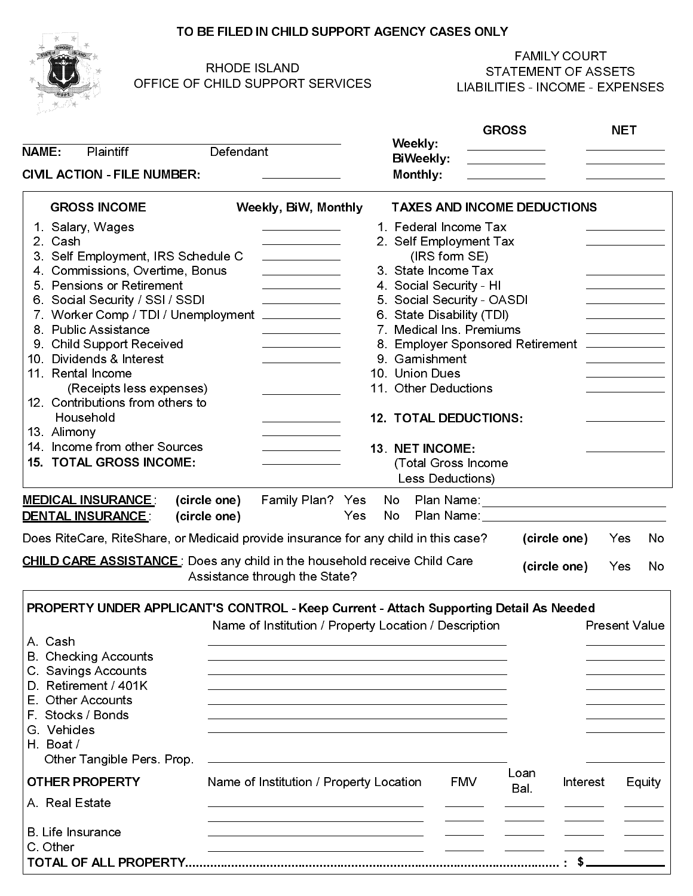#### TO BE FILED IN CHILD SUPPORT AGENCY CASES ONLY



## RHODE ISLAND OFFICE OF CHILD SUPPORT SERVICES

|                                                                                        | <b>RHODE ISLAND</b><br>OFFICE OF CHILD SUPPORT SERVICES                                                                                                                                                                              |                              | <b>FAMILY COURT</b><br><b>STATEMENT OF ASSETS</b><br><b>LIABILITIES - INCOME - EXPENSES</b>                                                                                                                                    |                                                |        |  |
|----------------------------------------------------------------------------------------|--------------------------------------------------------------------------------------------------------------------------------------------------------------------------------------------------------------------------------------|------------------------------|--------------------------------------------------------------------------------------------------------------------------------------------------------------------------------------------------------------------------------|------------------------------------------------|--------|--|
|                                                                                        |                                                                                                                                                                                                                                      |                              | <b>GROSS</b>                                                                                                                                                                                                                   | <b>NET</b>                                     |        |  |
| NAME:<br><b>Plaintiff</b>                                                              | Defendant                                                                                                                                                                                                                            | Weekly:                      | $\mathcal{L}(\mathcal{L}(\mathcal{L}))$ . The set of $\mathcal{L}(\mathcal{L})$                                                                                                                                                | <u> 2000 - Andrea State Barbara, ameri</u> kan |        |  |
|                                                                                        |                                                                                                                                                                                                                                      | BiWeekly:                    |                                                                                                                                                                                                                                | <u>and the state of the state</u>              |        |  |
| <b>CIVIL ACTION - FILE NUMBER:</b>                                                     | <u>and the state of the state of the state of the state of the state of the state of the state of the state of the state of the state of the state of the state of the state of the state of the state of the state of the state</u> | Monthly:                     |                                                                                                                                                                                                                                |                                                |        |  |
| <b>GROSS INCOME</b>                                                                    | Weekly, BiW, Monthly                                                                                                                                                                                                                 |                              | <b>TAXES AND INCOME DEDUCTIONS</b>                                                                                                                                                                                             |                                                |        |  |
| 1. Salary, Wages                                                                       | <u>and the state of the state of the state</u>                                                                                                                                                                                       | 1. Federal Income Tax        |                                                                                                                                                                                                                                |                                                |        |  |
| 2. Cash                                                                                |                                                                                                                                                                                                                                      | 2. Self Employment Tax       |                                                                                                                                                                                                                                |                                                |        |  |
| 3. Self Employment, IRS Schedule C                                                     |                                                                                                                                                                                                                                      | (IRS form SE)                |                                                                                                                                                                                                                                |                                                |        |  |
| 4. Commissions, Overtime, Bonus                                                        |                                                                                                                                                                                                                                      | 3. State Income Tax          |                                                                                                                                                                                                                                |                                                |        |  |
| 5. Pensions or Retirement                                                              |                                                                                                                                                                                                                                      | 4. Social Security - HI      |                                                                                                                                                                                                                                |                                                |        |  |
| 6. Social Security / SSI / SSDI                                                        |                                                                                                                                                                                                                                      | 5. Social Security - OASDI   |                                                                                                                                                                                                                                |                                                |        |  |
| 7. Worker Comp / TDI / Unemployment ___________                                        |                                                                                                                                                                                                                                      | 6. State Disability (TDI)    |                                                                                                                                                                                                                                |                                                |        |  |
| 8. Public Assistance                                                                   |                                                                                                                                                                                                                                      | 7. Medical Ins. Premiums     |                                                                                                                                                                                                                                |                                                |        |  |
| 9. Child Support Received                                                              | the control of the control of the                                                                                                                                                                                                    |                              | 8. Employer Sponsored Retirement ____________                                                                                                                                                                                  |                                                |        |  |
| 10. Dividends & Interest                                                               |                                                                                                                                                                                                                                      | 9. Garnishment               |                                                                                                                                                                                                                                |                                                |        |  |
| 11. Rental Income                                                                      |                                                                                                                                                                                                                                      | 10. Union Dues               |                                                                                                                                                                                                                                |                                                |        |  |
| (Receipts less expenses)<br>12. Contributions from others to                           |                                                                                                                                                                                                                                      | 11. Other Deductions         |                                                                                                                                                                                                                                |                                                |        |  |
| Household                                                                              |                                                                                                                                                                                                                                      | <b>12. TOTAL DEDUCTIONS:</b> |                                                                                                                                                                                                                                |                                                |        |  |
| 13. Alimony                                                                            |                                                                                                                                                                                                                                      |                              |                                                                                                                                                                                                                                |                                                |        |  |
| 14. Income from other Sources                                                          |                                                                                                                                                                                                                                      | 13. NET INCOME:              |                                                                                                                                                                                                                                |                                                |        |  |
| <b>15. TOTAL GROSS INCOME:</b>                                                         |                                                                                                                                                                                                                                      | (Total Gross Income          |                                                                                                                                                                                                                                |                                                |        |  |
|                                                                                        |                                                                                                                                                                                                                                      | Less Deductions)             |                                                                                                                                                                                                                                |                                                |        |  |
|                                                                                        |                                                                                                                                                                                                                                      |                              |                                                                                                                                                                                                                                |                                                |        |  |
|                                                                                        |                                                                                                                                                                                                                                      |                              |                                                                                                                                                                                                                                | Plan Name: _______________________________     |        |  |
| <b>MEDICAL INSURANCE:</b>                                                              | (circle one)<br>Family Plan? Yes                                                                                                                                                                                                     | No                           |                                                                                                                                                                                                                                |                                                |        |  |
| <b>DENTAL INSURANCE:</b>                                                               | (circle one)                                                                                                                                                                                                                         | Yes<br>No.                   | Plan Name: Name: Name and Name and Name and Name and Name and Name and Name and Name and Name and Name and Name and Name and Name and Name and Name and Name and Name and Name and Name and Name and Name and Name and Name an |                                                |        |  |
| Does RiteCare, RiteShare, or Medicaid provide insurance for any child in this case?    |                                                                                                                                                                                                                                      |                              |                                                                                                                                                                                                                                | Yes<br>(circle one)                            | No     |  |
|                                                                                        |                                                                                                                                                                                                                                      |                              |                                                                                                                                                                                                                                |                                                |        |  |
|                                                                                        |                                                                                                                                                                                                                                      |                              |                                                                                                                                                                                                                                | (circle one)<br>Yes                            | No     |  |
| <b>CHILD CARE ASSISTANCE</b> : Does any child in the household receive Child Care      | Assistance through the State?                                                                                                                                                                                                        |                              |                                                                                                                                                                                                                                |                                                |        |  |
| PROPERTY UNDER APPLICANT'S CONTROL - Keep Current - Attach Supporting Detail As Needed |                                                                                                                                                                                                                                      |                              |                                                                                                                                                                                                                                |                                                |        |  |
|                                                                                        | Name of Institution / Property Location / Description                                                                                                                                                                                |                              |                                                                                                                                                                                                                                | <b>Present Value</b>                           |        |  |
| A. Cash                                                                                |                                                                                                                                                                                                                                      |                              |                                                                                                                                                                                                                                |                                                |        |  |
| <b>B.</b> Checking Accounts                                                            |                                                                                                                                                                                                                                      |                              |                                                                                                                                                                                                                                |                                                |        |  |
| C. Savings Accounts                                                                    |                                                                                                                                                                                                                                      |                              |                                                                                                                                                                                                                                |                                                |        |  |
| D. Retirement / 401K                                                                   |                                                                                                                                                                                                                                      |                              |                                                                                                                                                                                                                                |                                                |        |  |
| E. Other Accounts                                                                      |                                                                                                                                                                                                                                      |                              |                                                                                                                                                                                                                                |                                                |        |  |
| F. Stocks / Bonds                                                                      |                                                                                                                                                                                                                                      |                              |                                                                                                                                                                                                                                |                                                |        |  |
| G. Vehicles                                                                            |                                                                                                                                                                                                                                      |                              |                                                                                                                                                                                                                                |                                                |        |  |
| H. Boat/                                                                               |                                                                                                                                                                                                                                      |                              |                                                                                                                                                                                                                                |                                                |        |  |
| Other Tangible Pers. Prop.                                                             |                                                                                                                                                                                                                                      |                              | Loan                                                                                                                                                                                                                           |                                                |        |  |
| <b>OTHER PROPERTY</b>                                                                  | Name of Institution / Property Location                                                                                                                                                                                              |                              | <b>FMV</b><br>Bal.                                                                                                                                                                                                             | Interest                                       | Equity |  |
| A. Real Estate                                                                         |                                                                                                                                                                                                                                      |                              |                                                                                                                                                                                                                                |                                                |        |  |
|                                                                                        |                                                                                                                                                                                                                                      |                              |                                                                                                                                                                                                                                |                                                |        |  |
| B. Life Insurance<br>C. Other                                                          |                                                                                                                                                                                                                                      |                              |                                                                                                                                                                                                                                |                                                |        |  |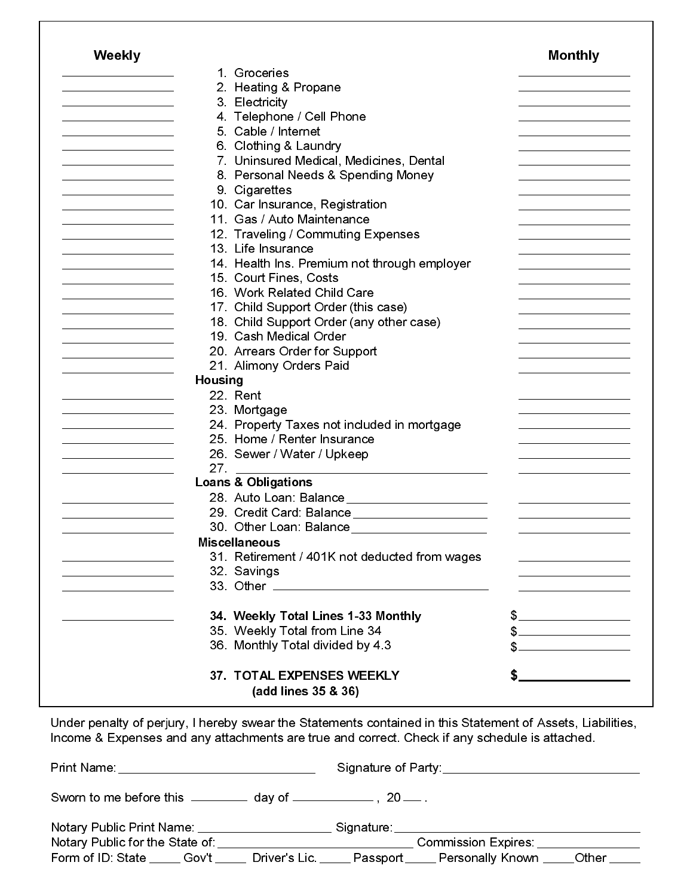| 35. Weekly Total from Line 34<br>36. Monthly Total divided by 4.3 | $\mathbb{S}$                                                                                                                                                                                                                                                                                                                                                                                                                                                                                                                                                                                                                                                                                                                                                                                                                                                                                                                                                                                                                                                                                |
|-------------------------------------------------------------------|---------------------------------------------------------------------------------------------------------------------------------------------------------------------------------------------------------------------------------------------------------------------------------------------------------------------------------------------------------------------------------------------------------------------------------------------------------------------------------------------------------------------------------------------------------------------------------------------------------------------------------------------------------------------------------------------------------------------------------------------------------------------------------------------------------------------------------------------------------------------------------------------------------------------------------------------------------------------------------------------------------------------------------------------------------------------------------------------|
|                                                                   |                                                                                                                                                                                                                                                                                                                                                                                                                                                                                                                                                                                                                                                                                                                                                                                                                                                                                                                                                                                                                                                                                             |
|                                                                   | $\frac{1}{2}$                                                                                                                                                                                                                                                                                                                                                                                                                                                                                                                                                                                                                                                                                                                                                                                                                                                                                                                                                                                                                                                                               |
|                                                                   |                                                                                                                                                                                                                                                                                                                                                                                                                                                                                                                                                                                                                                                                                                                                                                                                                                                                                                                                                                                                                                                                                             |
|                                                                   |                                                                                                                                                                                                                                                                                                                                                                                                                                                                                                                                                                                                                                                                                                                                                                                                                                                                                                                                                                                                                                                                                             |
|                                                                   |                                                                                                                                                                                                                                                                                                                                                                                                                                                                                                                                                                                                                                                                                                                                                                                                                                                                                                                                                                                                                                                                                             |
|                                                                   |                                                                                                                                                                                                                                                                                                                                                                                                                                                                                                                                                                                                                                                                                                                                                                                                                                                                                                                                                                                                                                                                                             |
|                                                                   |                                                                                                                                                                                                                                                                                                                                                                                                                                                                                                                                                                                                                                                                                                                                                                                                                                                                                                                                                                                                                                                                                             |
|                                                                   | <u>and the state of the state of the state</u>                                                                                                                                                                                                                                                                                                                                                                                                                                                                                                                                                                                                                                                                                                                                                                                                                                                                                                                                                                                                                                              |
|                                                                   | the contract of the contract of the contract of                                                                                                                                                                                                                                                                                                                                                                                                                                                                                                                                                                                                                                                                                                                                                                                                                                                                                                                                                                                                                                             |
|                                                                   |                                                                                                                                                                                                                                                                                                                                                                                                                                                                                                                                                                                                                                                                                                                                                                                                                                                                                                                                                                                                                                                                                             |
|                                                                   |                                                                                                                                                                                                                                                                                                                                                                                                                                                                                                                                                                                                                                                                                                                                                                                                                                                                                                                                                                                                                                                                                             |
|                                                                   |                                                                                                                                                                                                                                                                                                                                                                                                                                                                                                                                                                                                                                                                                                                                                                                                                                                                                                                                                                                                                                                                                             |
|                                                                   |                                                                                                                                                                                                                                                                                                                                                                                                                                                                                                                                                                                                                                                                                                                                                                                                                                                                                                                                                                                                                                                                                             |
|                                                                   |                                                                                                                                                                                                                                                                                                                                                                                                                                                                                                                                                                                                                                                                                                                                                                                                                                                                                                                                                                                                                                                                                             |
|                                                                   |                                                                                                                                                                                                                                                                                                                                                                                                                                                                                                                                                                                                                                                                                                                                                                                                                                                                                                                                                                                                                                                                                             |
|                                                                   |                                                                                                                                                                                                                                                                                                                                                                                                                                                                                                                                                                                                                                                                                                                                                                                                                                                                                                                                                                                                                                                                                             |
|                                                                   |                                                                                                                                                                                                                                                                                                                                                                                                                                                                                                                                                                                                                                                                                                                                                                                                                                                                                                                                                                                                                                                                                             |
|                                                                   |                                                                                                                                                                                                                                                                                                                                                                                                                                                                                                                                                                                                                                                                                                                                                                                                                                                                                                                                                                                                                                                                                             |
|                                                                   |                                                                                                                                                                                                                                                                                                                                                                                                                                                                                                                                                                                                                                                                                                                                                                                                                                                                                                                                                                                                                                                                                             |
|                                                                   |                                                                                                                                                                                                                                                                                                                                                                                                                                                                                                                                                                                                                                                                                                                                                                                                                                                                                                                                                                                                                                                                                             |
|                                                                   |                                                                                                                                                                                                                                                                                                                                                                                                                                                                                                                                                                                                                                                                                                                                                                                                                                                                                                                                                                                                                                                                                             |
|                                                                   |                                                                                                                                                                                                                                                                                                                                                                                                                                                                                                                                                                                                                                                                                                                                                                                                                                                                                                                                                                                                                                                                                             |
|                                                                   |                                                                                                                                                                                                                                                                                                                                                                                                                                                                                                                                                                                                                                                                                                                                                                                                                                                                                                                                                                                                                                                                                             |
|                                                                   |                                                                                                                                                                                                                                                                                                                                                                                                                                                                                                                                                                                                                                                                                                                                                                                                                                                                                                                                                                                                                                                                                             |
|                                                                   |                                                                                                                                                                                                                                                                                                                                                                                                                                                                                                                                                                                                                                                                                                                                                                                                                                                                                                                                                                                                                                                                                             |
|                                                                   |                                                                                                                                                                                                                                                                                                                                                                                                                                                                                                                                                                                                                                                                                                                                                                                                                                                                                                                                                                                                                                                                                             |
|                                                                   |                                                                                                                                                                                                                                                                                                                                                                                                                                                                                                                                                                                                                                                                                                                                                                                                                                                                                                                                                                                                                                                                                             |
|                                                                   |                                                                                                                                                                                                                                                                                                                                                                                                                                                                                                                                                                                                                                                                                                                                                                                                                                                                                                                                                                                                                                                                                             |
|                                                                   |                                                                                                                                                                                                                                                                                                                                                                                                                                                                                                                                                                                                                                                                                                                                                                                                                                                                                                                                                                                                                                                                                             |
|                                                                   |                                                                                                                                                                                                                                                                                                                                                                                                                                                                                                                                                                                                                                                                                                                                                                                                                                                                                                                                                                                                                                                                                             |
|                                                                   |                                                                                                                                                                                                                                                                                                                                                                                                                                                                                                                                                                                                                                                                                                                                                                                                                                                                                                                                                                                                                                                                                             |
|                                                                   |                                                                                                                                                                                                                                                                                                                                                                                                                                                                                                                                                                                                                                                                                                                                                                                                                                                                                                                                                                                                                                                                                             |
|                                                                   |                                                                                                                                                                                                                                                                                                                                                                                                                                                                                                                                                                                                                                                                                                                                                                                                                                                                                                                                                                                                                                                                                             |
|                                                                   |                                                                                                                                                                                                                                                                                                                                                                                                                                                                                                                                                                                                                                                                                                                                                                                                                                                                                                                                                                                                                                                                                             |
|                                                                   |                                                                                                                                                                                                                                                                                                                                                                                                                                                                                                                                                                                                                                                                                                                                                                                                                                                                                                                                                                                                                                                                                             |
|                                                                   |                                                                                                                                                                                                                                                                                                                                                                                                                                                                                                                                                                                                                                                                                                                                                                                                                                                                                                                                                                                                                                                                                             |
|                                                                   |                                                                                                                                                                                                                                                                                                                                                                                                                                                                                                                                                                                                                                                                                                                                                                                                                                                                                                                                                                                                                                                                                             |
|                                                                   |                                                                                                                                                                                                                                                                                                                                                                                                                                                                                                                                                                                                                                                                                                                                                                                                                                                                                                                                                                                                                                                                                             |
|                                                                   | <b>Monthly</b>                                                                                                                                                                                                                                                                                                                                                                                                                                                                                                                                                                                                                                                                                                                                                                                                                                                                                                                                                                                                                                                                              |
|                                                                   |                                                                                                                                                                                                                                                                                                                                                                                                                                                                                                                                                                                                                                                                                                                                                                                                                                                                                                                                                                                                                                                                                             |
|                                                                   | 1. Groceries<br>2. Heating & Propane<br>3. Electricity<br>4. Telephone / Cell Phone<br>5. Cable / Internet<br>6. Clothing & Laundry<br>7. Uninsured Medical, Medicines, Dental<br>8. Personal Needs & Spending Money<br>9. Cigarettes<br>10. Car Insurance, Registration<br>11. Gas / Auto Maintenance<br>12. Traveling / Commuting Expenses<br>13. Life Insurance<br>14. Health Ins. Premium not through employer<br>15. Court Fines, Costs<br>16. Work Related Child Care<br>17. Child Support Order (this case)<br>18. Child Support Order (any other case)<br>19. Cash Medical Order<br>20. Arrears Order for Support<br>21. Alimony Orders Paid<br><b>Housing</b><br>22. Rent<br>23. Mortgage<br>24. Property Taxes not included in mortgage<br>25. Home / Renter Insurance<br>26. Sewer / Water / Upkeep<br>27.<br><b>Loans &amp; Obligations</b><br>28. Auto Loan: Balance_______________________<br>29. Credit Card: Balance _______________________<br><b>Miscellaneous</b><br>31. Retirement / 401K not deducted from wages<br>32. Savings<br>34. Weekly Total Lines 1-33 Monthly |

Under penalty of perjury, I hereby swear the Statements contained in this Statement of Assets, Liabilities, Income & Expenses and any attachments are true and correct. Check if any schedule is attached.

| Sworn to me before this $\frac{1}{2}$ day of $\frac{1}{2}$ , 20 $\frac{1}{2}$ .                           |  |  |  |  |
|-----------------------------------------------------------------------------------------------------------|--|--|--|--|
|                                                                                                           |  |  |  |  |
| Form of ID: State _____ Gov't _____ Driver's Lic. _____ Passport _____ Personally Known _____ Other _____ |  |  |  |  |